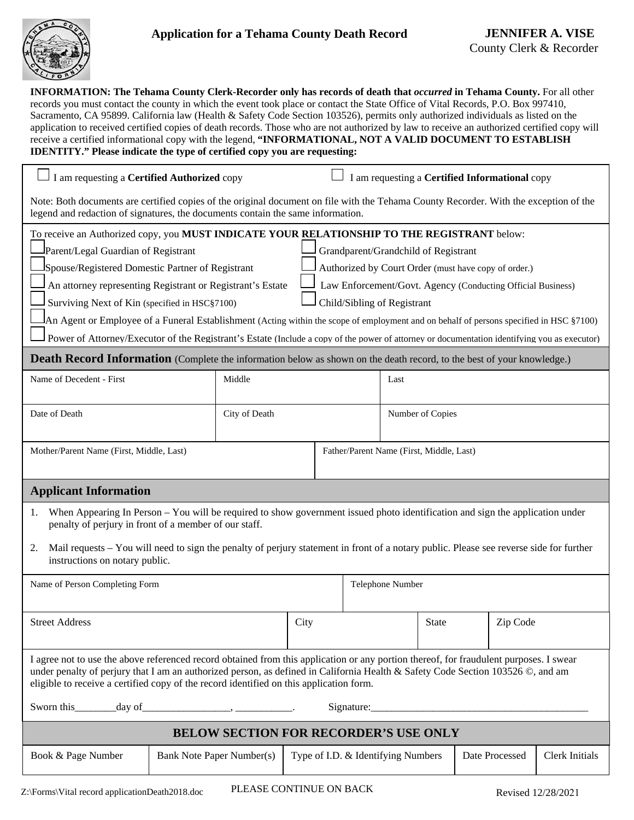

88% **INFORMATION: The Tehama County Clerk-Recorder only has records of death that** *occurred* **in Tehama County.** For all other records you must contact the county in which the event took place or contact the State Office of Vital Records, P.O. Box 997410, Sacramento, CA 95899. California law (Health & Safety Code Section 103526), permits only authorized individuals as listed on the application to received certified copies of death records. Those who are not authorized by law to receive an authorized certified copy will receive a certified informational copy with the legend, **"INFORMATIONAL, NOT A VALID DOCUMENT TO ESTABLISH IDENTITY." Please indicate the type of certified copy you are requesting:** 

| I am requesting a Certified Authorized copy                                                                                                                                                                                                                                                                                                                          |  |               |                                                      | I am requesting a Certified Informational copy              |  |                  |              |                |          |                       |  |
|----------------------------------------------------------------------------------------------------------------------------------------------------------------------------------------------------------------------------------------------------------------------------------------------------------------------------------------------------------------------|--|---------------|------------------------------------------------------|-------------------------------------------------------------|--|------------------|--------------|----------------|----------|-----------------------|--|
| Note: Both documents are certified copies of the original document on file with the Tehama County Recorder. With the exception of the<br>legend and redaction of signatures, the documents contain the same information.                                                                                                                                             |  |               |                                                      |                                                             |  |                  |              |                |          |                       |  |
| To receive an Authorized copy, you MUST INDICATE YOUR RELATIONSHIP TO THE REGISTRANT below:                                                                                                                                                                                                                                                                          |  |               |                                                      |                                                             |  |                  |              |                |          |                       |  |
| Parent/Legal Guardian of Registrant                                                                                                                                                                                                                                                                                                                                  |  |               |                                                      | Grandparent/Grandchild of Registrant                        |  |                  |              |                |          |                       |  |
| Spouse/Registered Domestic Partner of Registrant                                                                                                                                                                                                                                                                                                                     |  |               | Authorized by Court Order (must have copy of order.) |                                                             |  |                  |              |                |          |                       |  |
| An attorney representing Registrant or Registrant's Estate                                                                                                                                                                                                                                                                                                           |  |               |                                                      | Law Enforcement/Govt. Agency (Conducting Official Business) |  |                  |              |                |          |                       |  |
| Surviving Next of Kin (specified in HSC§7100)                                                                                                                                                                                                                                                                                                                        |  |               |                                                      | Child/Sibling of Registrant                                 |  |                  |              |                |          |                       |  |
| An Agent or Employee of a Funeral Establishment (Acting within the scope of employment and on behalf of persons specified in HSC §7100)                                                                                                                                                                                                                              |  |               |                                                      |                                                             |  |                  |              |                |          |                       |  |
| Power of Attorney/Executor of the Registrant's Estate (Include a copy of the power of attorney or documentation identifying you as executor)                                                                                                                                                                                                                         |  |               |                                                      |                                                             |  |                  |              |                |          |                       |  |
| <b>Death Record Information</b> (Complete the information below as shown on the death record, to the best of your knowledge.)                                                                                                                                                                                                                                        |  |               |                                                      |                                                             |  |                  |              |                |          |                       |  |
| Name of Decedent - First                                                                                                                                                                                                                                                                                                                                             |  | Middle        |                                                      |                                                             |  | Last             |              |                |          |                       |  |
| Date of Death                                                                                                                                                                                                                                                                                                                                                        |  | City of Death |                                                      |                                                             |  | Number of Copies |              |                |          |                       |  |
| Mother/Parent Name (First, Middle, Last)                                                                                                                                                                                                                                                                                                                             |  |               |                                                      | Father/Parent Name (First, Middle, Last)                    |  |                  |              |                |          |                       |  |
|                                                                                                                                                                                                                                                                                                                                                                      |  |               |                                                      |                                                             |  |                  |              |                |          |                       |  |
| <b>Applicant Information</b>                                                                                                                                                                                                                                                                                                                                         |  |               |                                                      |                                                             |  |                  |              |                |          |                       |  |
| When Appearing In Person – You will be required to show government issued photo identification and sign the application under<br>1.<br>penalty of perjury in front of a member of our staff.                                                                                                                                                                         |  |               |                                                      |                                                             |  |                  |              |                |          |                       |  |
| Mail requests – You will need to sign the penalty of perjury statement in front of a notary public. Please see reverse side for further<br>2.<br>instructions on notary public.                                                                                                                                                                                      |  |               |                                                      |                                                             |  |                  |              |                |          |                       |  |
| Name of Person Completing Form                                                                                                                                                                                                                                                                                                                                       |  |               |                                                      | Telephone Number                                            |  |                  |              |                |          |                       |  |
|                                                                                                                                                                                                                                                                                                                                                                      |  |               |                                                      |                                                             |  |                  |              |                |          |                       |  |
| <b>Street Address</b>                                                                                                                                                                                                                                                                                                                                                |  |               | City                                                 |                                                             |  |                  | <b>State</b> |                | Zip Code |                       |  |
| I agree not to use the above referenced record obtained from this application or any portion thereof, for fraudulent purposes. I swear<br>under penalty of perjury that I am an authorized person, as defined in California Health & Safety Code Section 103526 ©, and am<br>eligible to receive a certified copy of the record identified on this application form. |  |               |                                                      |                                                             |  |                  |              |                |          |                       |  |
|                                                                                                                                                                                                                                                                                                                                                                      |  |               |                                                      |                                                             |  |                  |              |                |          |                       |  |
| <b>BELOW SECTION FOR RECORDER'S USE ONLY</b>                                                                                                                                                                                                                                                                                                                         |  |               |                                                      |                                                             |  |                  |              |                |          |                       |  |
| Book & Page Number<br>Bank Note Paper Number(s)                                                                                                                                                                                                                                                                                                                      |  |               |                                                      | Type of I.D. & Identifying Numbers                          |  |                  |              | Date Processed |          | <b>Clerk Initials</b> |  |